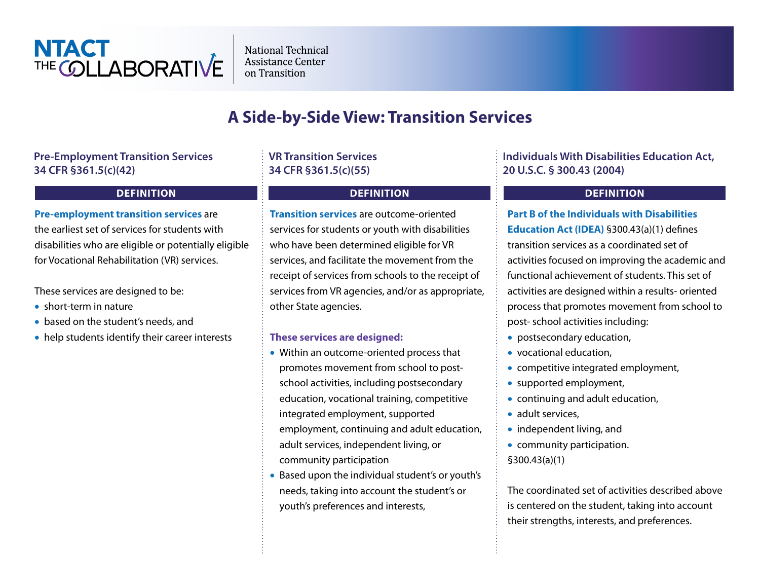

**National Technical** Assistance Center on Transition

# **A Side-by-Side View: Transition Services**

### **Pre-Employment Transition Services 34 CFR §361.5(c)(42)**

### **DEFINITION**

### **Pre-employment transition services** are

the earliest set of services for students with disabilities who are eligible or potentially eligible for Vocational Rehabilitation (VR) services.

These services are designed to be:

- short-term in nature
- based on the student's needs, and
- help students identify their career interests

# **VR Transition Services 34 CFR §361.5(c)(55)**

## **DEFINITION**

**Transition services** are outcome-oriented services for students or youth with disabilities who have been determined eligible for VR services, and facilitate the movement from the receipt of services from schools to the receipt of services from VR agencies, and/or as appropriate, other State agencies.

### **These services are designed:**

- Within an outcome-oriented process that promotes movement from school to postschool activities, including postsecondary education, vocational training, competitive integrated employment, supported employment, continuing and adult education, adult services, independent living, or community participation
- Based upon the individual student's or youth's needs, taking into account the student's or youth's preferences and interests,

# **Individuals With Disabilities Education Act, 20 U.S.C. § 300.43 (2004)**

### **DEFINITION**

**Part B of the Individuals with Disabilities Education Act (IDEA)** §300.43(a)(1) defines transition services as a coordinated set of activities focused on improving the academic and functional achievement of students. This set of activities are designed within a results- oriented process that promotes movement from school to post- school activities including:

- postsecondary education,
- vocational education,
- competitive integrated employment,
- supported employment,
- continuing and adult education,
- adult services,
- independent living, and
- community participation. §300.43(a)(1)

The coordinated set of activities described above is centered on the student, taking into account their strengths, interests, and preferences.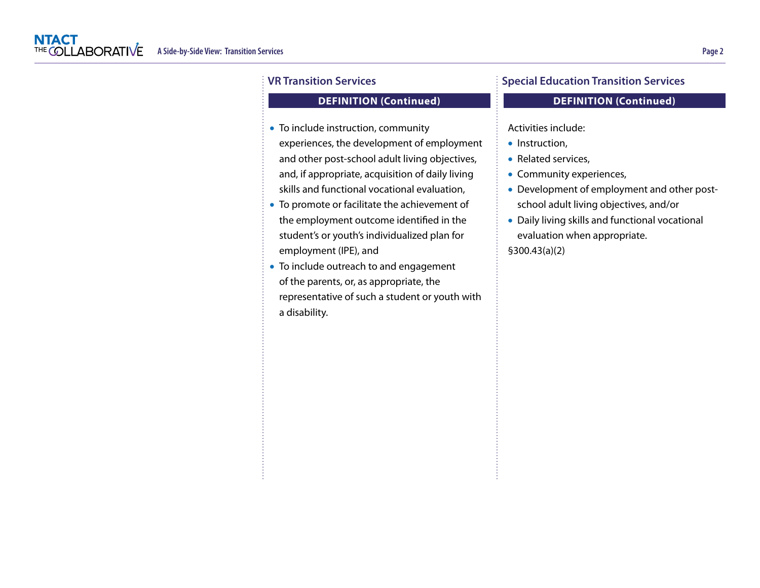### **DEFINITION (Continued)**

- To include instruction, community experiences, the development of employment and other post-school adult living objectives, and, if appropriate, acquisition of daily living skills and functional vocational evaluation,
- To promote or facilitate the achievement of the employment outcome identified in the student's or youth's individualized plan for employment (IPE), and
- To include outreach to and engagement of the parents, or, as appropriate, the representative of such a student or youth with a disability.

### **Special Education Transition Services**

### **DEFINITION (Continued)**

Activities include:

- Instruction,
- Related services,
- Community experiences,
- Development of employment and other postschool adult living objectives, and/or
- Daily living skills and functional vocational evaluation when appropriate. §300.43(a)(2)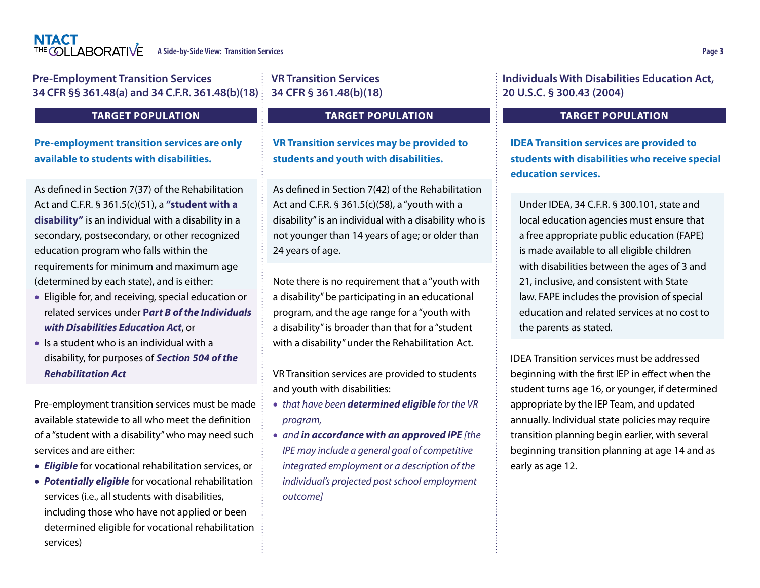determined eligible for vocational rehabilitation

ł

services)

| <b>Pre-Employment Transition Services</b><br>34 CFR §§ 361.48(a) and 34 C.F.R. 361.48(b)(18)                                                                                                                                                                                                                                                                                                                | <b>VR Transition Services</b><br>34 CFR § 361.48(b)(18)                                                                                                                                                                                                                                                     | <b>Individuals With Disabilities Education Act,</b><br>20 U.S.C. § 300.43 (2004)                                                                                                                                                                                        |  |
|-------------------------------------------------------------------------------------------------------------------------------------------------------------------------------------------------------------------------------------------------------------------------------------------------------------------------------------------------------------------------------------------------------------|-------------------------------------------------------------------------------------------------------------------------------------------------------------------------------------------------------------------------------------------------------------------------------------------------------------|-------------------------------------------------------------------------------------------------------------------------------------------------------------------------------------------------------------------------------------------------------------------------|--|
| <b>TARGET POPULATION</b>                                                                                                                                                                                                                                                                                                                                                                                    | <b>TARGET POPULATION</b>                                                                                                                                                                                                                                                                                    | <b>TARGET POPULATION</b>                                                                                                                                                                                                                                                |  |
| <b>Pre-employment transition services are only</b><br>available to students with disabilities.                                                                                                                                                                                                                                                                                                              | <b>VR Transition services may be provided to</b><br>students and youth with disabilities.                                                                                                                                                                                                                   | <b>IDEA Transition services are provided to</b><br>students with disabilities who receive special<br>education services.                                                                                                                                                |  |
| As defined in Section 7(37) of the Rehabilitation<br>Act and C.F.R. § 361.5(c)(51), a "student with a<br>disability" is an individual with a disability in a<br>secondary, postsecondary, or other recognized<br>education program who falls within the                                                                                                                                                     | As defined in Section 7(42) of the Rehabilitation<br>Act and C.F.R. § 361.5(c)(58), a "youth with a<br>disability" is an individual with a disability who is<br>not younger than 14 years of age; or older than<br>24 years of age.                                                                         | Under IDEA, 34 C.F.R. § 300.101, state and<br>local education agencies must ensure that<br>a free appropriate public education (FAPE)<br>is made available to all eligible children                                                                                     |  |
| requirements for minimum and maximum age<br>(determined by each state), and is either:<br>• Eligible for, and receiving, special education or<br>related services under Part B of the Individuals<br>with Disabilities Education Act, or                                                                                                                                                                    | Note there is no requirement that a "youth with<br>a disability" be participating in an educational<br>program, and the age range for a "youth with<br>a disability" is broader than that for a "student                                                                                                    | with disabilities between the ages of 3 and<br>21, inclusive, and consistent with State<br>law. FAPE includes the provision of special<br>education and related services at no cost to<br>the parents as stated.                                                        |  |
| • Is a student who is an individual with a<br>disability, for purposes of Section 504 of the<br><b>Rehabilitation Act</b>                                                                                                                                                                                                                                                                                   | with a disability" under the Rehabilitation Act.<br>VR Transition services are provided to students                                                                                                                                                                                                         | IDEA Transition services must be addressed<br>beginning with the first IEP in effect when the                                                                                                                                                                           |  |
| Pre-employment transition services must be made<br>available statewide to all who meet the definition<br>of a "student with a disability" who may need such<br>services and are either:<br>• Eligible for vocational rehabilitation services, or<br>• Potentially eligible for vocational rehabilitation<br>services (i.e., all students with disabilities,<br>including those who have not applied or been | and youth with disabilities:<br>• that have been determined eligible for the VR<br>program,<br>• and in accordance with an approved IPE [the<br>IPE may include a general goal of competitive<br>integrated employment or a description of the<br>individual's projected post school employment<br>outcome] | student turns age 16, or younger, if determined<br>appropriate by the IEP Team, and updated<br>annually. Individual state policies may require<br>transition planning begin earlier, with several<br>beginning transition planning at age 14 and as<br>early as age 12. |  |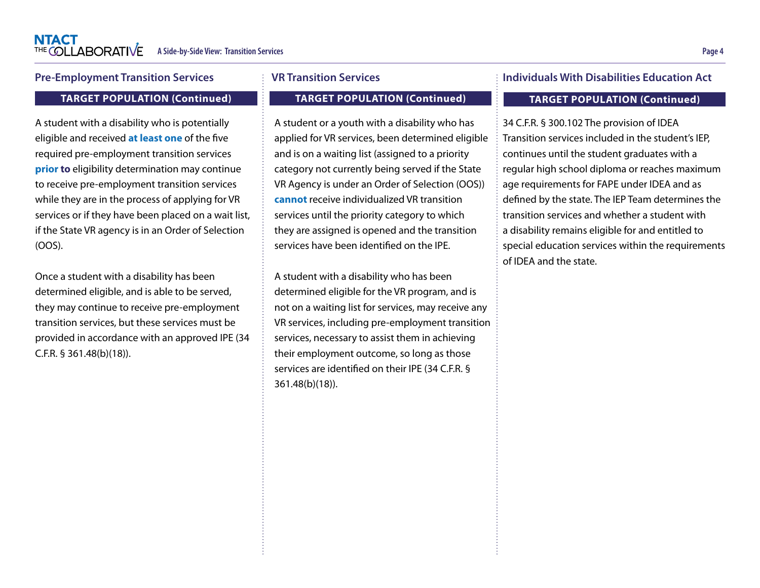### **Pre-Employment Transition Services**

#### **TARGET POPULATION (Continued)**

A student with a disability who is potentially eligible and received **at least one** of the five required pre-employment transition services **prior to** eligibility determination may continue to receive pre-employment transition services while they are in the process of applying for VR services or if they have been placed on a wait list, if the State VR agency is in an Order of Selection (OOS).

Once a student with a disability has been determined eligible, and is able to be served, they may continue to receive pre-employment transition services, but these services must be provided in accordance with an approved IPE (34 C.F.R. § 361.48(b)(18)).

#### **VR Transition Services**

### **TARGET POPULATION (Continued)**

A student or a youth with a disability who has applied for VR services, been determined eligible and is on a waiting list (assigned to a priority category not currently being served if the State VR Agency is under an Order of Selection (OOS)) **cannot** receive individualized VR transition services until the priority category to which they are assigned is opened and the transition services have been identified on the IPE.

A student with a disability who has been determined eligible for the VR program, and is not on a waiting list for services, may receive any VR services, including pre-employment transition services, necessary to assist them in achieving their employment outcome, so long as those services are identified on their IPE (34 C.F.R. § 361.48(b)(18)).

### **Individuals With Disabilities Education Act**

#### **TARGET POPULATION (Continued)**

34 C.F.R. § 300.102 The provision of IDEA Transition services included in the student's IEP, continues until the student graduates with a regular high school diploma or reaches maximum age requirements for FAPE under IDEA and as defined by the state. The IEP Team determines the transition services and whether a student with a disability remains eligible for and entitled to special education services within the requirements of IDEA and the state.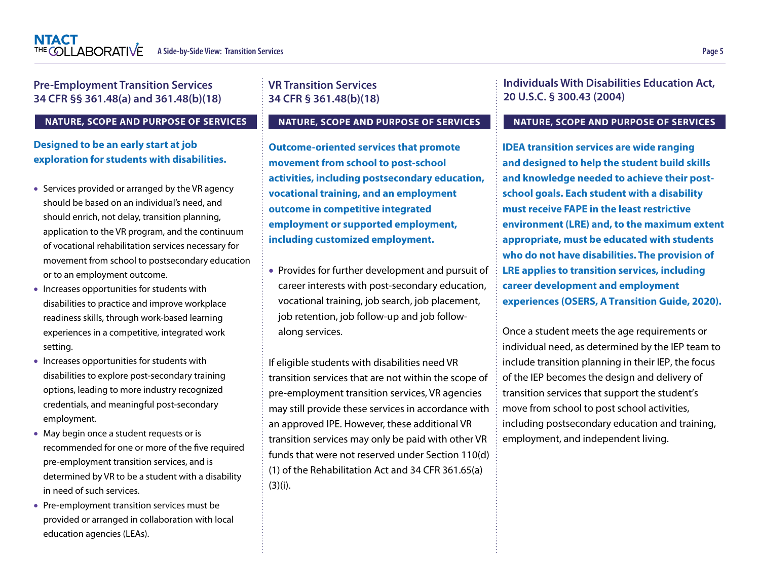# **Pre-Employment Transition Services 34 CFR §§ 361.48(a) and 361.48(b)(18)**

#### **NATURE, SCOPE AND PURPOSE OF SERVICES**

### **Designed to be an early start at job exploration for students with disabilities.**

- Services provided or arranged by the VR agency should be based on an individual's need, and should enrich, not delay, transition planning, application to the VR program, and the continuum of vocational rehabilitation services necessary for movement from school to postsecondary education or to an employment outcome.
- Increases opportunities for students with disabilities to practice and improve workplace readiness skills, through work-based learning experiences in a competitive, integrated work setting.
- Increases opportunities for students with disabilities to explore post-secondary training options, leading to more industry recognized credentials, and meaningful post-secondary employment.
- May begin once a student requests or is recommended for one or more of the five required pre-employment transition services, and is determined by VR to be a student with a disability in need of such services.
- Pre-employment transition services must be provided or arranged in collaboration with local education agencies (LEAs).

# **VR Transition Services 34 CFR § 361.48(b)(18)**

#### **NATURE, SCOPE AND PURPOSE OF SERVICES**

**Outcome-oriented services that promote movement from school to post-school activities, including postsecondary education, vocational training, and an employment outcome in competitive integrated employment or supported employment, including customized employment.**

• Provides for further development and pursuit of career interests with post-secondary education, vocational training, job search, job placement, job retention, job follow-up and job followalong services.

If eligible students with disabilities need VR transition services that are not within the scope of pre-employment transition services, VR agencies may still provide these services in accordance with an approved IPE. However, these additional VR transition services may only be paid with other VR funds that were not reserved under Section 110(d) (1) of the Rehabilitation Act and 34 CFR 361.65(a) (3)(i).

**Individuals With Disabilities Education Act, 20 U.S.C. § 300.43 (2004)**

#### **NATURE, SCOPE AND PURPOSE OF SERVICES**

**IDEA transition services are wide ranging and designed to help the student build skills and knowledge needed to achieve their postschool goals. Each student with a disability must receive FAPE in the least restrictive environment (LRE) and, to the maximum extent appropriate, must be educated with students who do not have disabilities. The provision of LRE applies to transition services, including career development and employment experiences (OSERS, A Transition Guide, 2020).** 

Once a student meets the age requirements or individual need, as determined by the IEP team to include transition planning in their IEP, the focus of the IEP becomes the design and delivery of transition services that support the student's move from school to post school activities, including postsecondary education and training, employment, and independent living.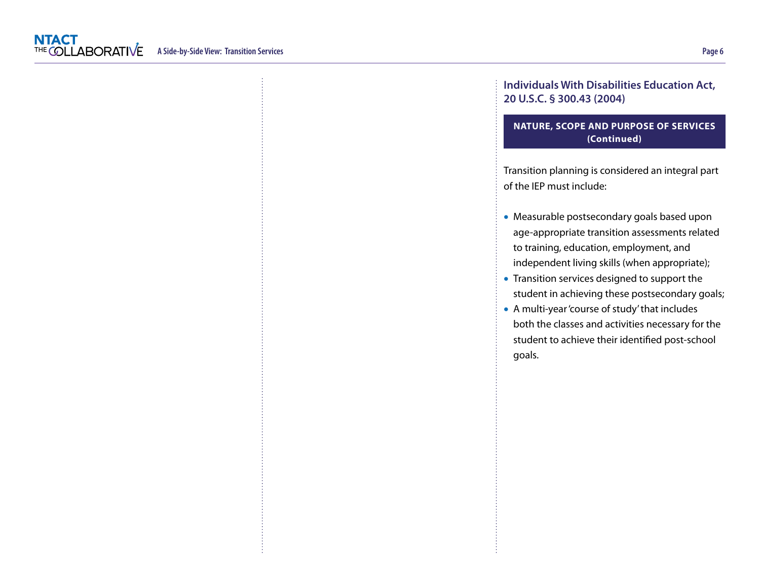## **Individuals With Disabilities Education Act, 20 U.S.C. § 300.43 (2004)**

### **NATURE, SCOPE AND PURPOSE OF SERVICES (Continued)**

Transition planning is considered an integral part of the IEP must include:

- Measurable postsecondary goals based upon age-appropriate transition assessments related to training, education, employment, and independent living skills (when appropriate);
- Transition services designed to support the student in achieving these postsecondary goals;
- A multi-year 'course of study' that includes both the classes and activities necessary for the student to achieve their identified post-school goals.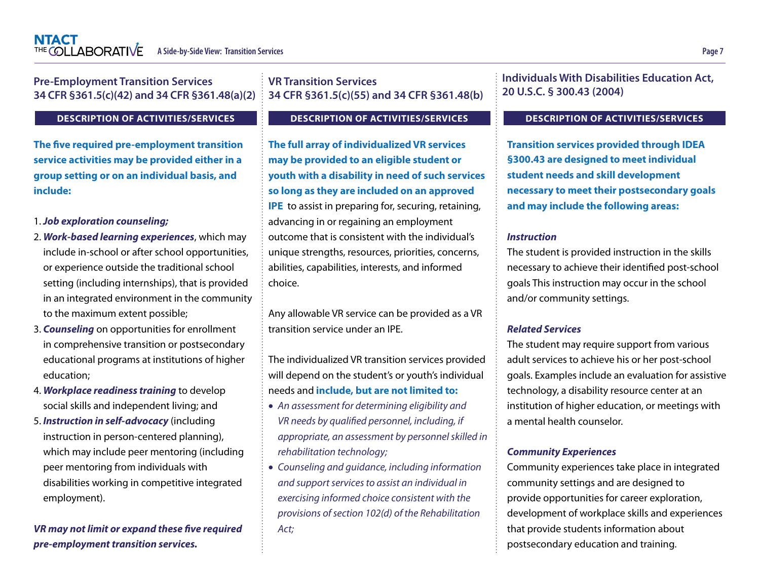| <b>Pre-Employment Transition Services</b><br>34 CFR §361.5(c)(42) and 34 CFR §361.48(a)(2)                                                                                                                                                                                                                                                                                                                                                                  | <b>VR Transition Services</b><br>34 CFR §361.5(c)(55) and 34 CFR §361.48(b)                                                                                                                                                                                                                                                                                               | <b>Individuals With Disabilities Education Act,</b><br>20 U.S.C. § 300.43 (2004)                                                                                                                                                                                                                                                                                                                   |
|-------------------------------------------------------------------------------------------------------------------------------------------------------------------------------------------------------------------------------------------------------------------------------------------------------------------------------------------------------------------------------------------------------------------------------------------------------------|---------------------------------------------------------------------------------------------------------------------------------------------------------------------------------------------------------------------------------------------------------------------------------------------------------------------------------------------------------------------------|----------------------------------------------------------------------------------------------------------------------------------------------------------------------------------------------------------------------------------------------------------------------------------------------------------------------------------------------------------------------------------------------------|
| <b>DESCRIPTION OF ACTIVITIES/SERVICES</b>                                                                                                                                                                                                                                                                                                                                                                                                                   | <b>DESCRIPTION OF ACTIVITIES/SERVICES</b>                                                                                                                                                                                                                                                                                                                                 | <b>DESCRIPTION OF ACTIVITIES/SERVICES</b>                                                                                                                                                                                                                                                                                                                                                          |
| The five required pre-employment transition<br>service activities may be provided either in a<br>group setting or on an individual basis, and<br>include:                                                                                                                                                                                                                                                                                                   | The full array of individualized VR services<br>may be provided to an eligible student or<br>youth with a disability in need of such services<br>so long as they are included on an approved<br><b>IPE</b> to assist in preparing for, securing, retaining,                                                                                                               | <b>Transition services provided through IDEA</b><br>§300.43 are designed to meet individual<br>student needs and skill development<br>necessary to meet their postsecondary goals<br>and may include the following areas:                                                                                                                                                                          |
| 1. Job exploration counseling;                                                                                                                                                                                                                                                                                                                                                                                                                              | advancing in or regaining an employment                                                                                                                                                                                                                                                                                                                                   |                                                                                                                                                                                                                                                                                                                                                                                                    |
| 2. Work-based learning experiences, which may<br>include in-school or after school opportunities,<br>or experience outside the traditional school<br>setting (including internships), that is provided<br>in an integrated environment in the community<br>to the maximum extent possible;<br>3. Counseling on opportunities for enrollment<br>in comprehensive transition or postsecondary<br>educational programs at institutions of higher<br>education; | outcome that is consistent with the individual's<br>unique strengths, resources, priorities, concerns,<br>abilities, capabilities, interests, and informed<br>choice.<br>Any allowable VR service can be provided as a VR<br>transition service under an IPE.<br>The individualized VR transition services provided<br>will depend on the student's or youth's individual | <b>Instruction</b><br>The student is provided instruction in the skills<br>necessary to achieve their identified post-school<br>goals This instruction may occur in the school<br>and/or community settings.<br><b>Related Services</b><br>The student may require support from various<br>adult services to achieve his or her post-school<br>goals. Examples include an evaluation for assistive |
| 4. Workplace readiness training to develop                                                                                                                                                                                                                                                                                                                                                                                                                  | needs and include, but are not limited to:                                                                                                                                                                                                                                                                                                                                | technology, a disability resource center at an                                                                                                                                                                                                                                                                                                                                                     |
| social skills and independent living; and<br>5. Instruction in self-advocacy (including<br>instruction in person-centered planning),                                                                                                                                                                                                                                                                                                                        | • An assessment for determining eligibility and<br>VR needs by qualified personnel, including, if<br>appropriate, an assessment by personnel skilled in                                                                                                                                                                                                                   | institution of higher education, or meetings with<br>a mental health counselor.                                                                                                                                                                                                                                                                                                                    |
| which may include peer mentoring (including                                                                                                                                                                                                                                                                                                                                                                                                                 | rehabilitation technology;                                                                                                                                                                                                                                                                                                                                                | <b>Community Experiences</b>                                                                                                                                                                                                                                                                                                                                                                       |
| peer mentoring from individuals with<br>disabilities working in competitive integrated<br>employment).                                                                                                                                                                                                                                                                                                                                                      | • Counseling and guidance, including information<br>and support services to assist an individual in<br>exercising informed choice consistent with the<br>provisions of section 102(d) of the Rehabilitation                                                                                                                                                               | Community experiences take place in integrated<br>community settings and are designed to<br>provide opportunities for career exploration,<br>development of workplace skills and experiences                                                                                                                                                                                                       |

*VR may not limit or expand these five required pre-employment transition services.*

*provisions of section 102(d) of the Rehabilitation Act;*

ŧ

postsecondary education and training.

that provide students information about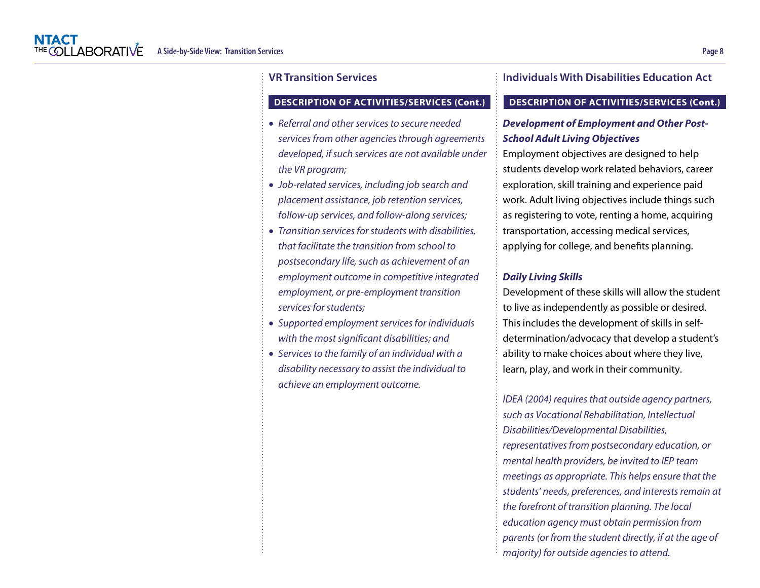#### **DESCRIPTION OF ACTIVITIES/SERVICES (Cont.)**

- *Referral and other services to secure needed services from other agencies through agreements developed, if such services are not available under the VR program;*
- *Job-related services, including job search and placement assistance, job retention services, follow-up services, and follow-along services;*
- *Transition services for students with disabilities, that facilitate the transition from school to postsecondary life, such as achievement of an employment outcome in competitive integrated employment, or pre-employment transition services for students;*
- *Supported employment services for individuals with the most significant disabilities; and*
- *Services to the family of an individual with a disability necessary to assist the individual to achieve an employment outcome.*

### **Individuals With Disabilities Education Act**

#### **DESCRIPTION OF ACTIVITIES/SERVICES (Cont.)**

### *Development of Employment and Other Post-School Adult Living Objectives*

Employment objectives are designed to help students develop work related behaviors, career exploration, skill training and experience paid work. Adult living objectives include things such as registering to vote, renting a home, acquiring transportation, accessing medical services, applying for college, and benefits planning.

#### *Daily Living Skills*

Development of these skills will allow the student to live as independently as possible or desired. This includes the development of skills in selfdetermination/advocacy that develop a student's ability to make choices about where they live, learn, play, and work in their community.

*I*DEA (2004) requires that outside agency partners, such as Vocational Rehabilitation, Intellectual Disabilities/Developmental Disabilities, representatives from postsecondary education, or mental health providers, be invited to IEP team meetings as appropriate. This helps ensure that the students' needs, preferences, and interests remain at the forefront of transition planning. The local education agency must obtain permission from parents (or from the student directly, if at the age of majority) for outside agencies to attend.